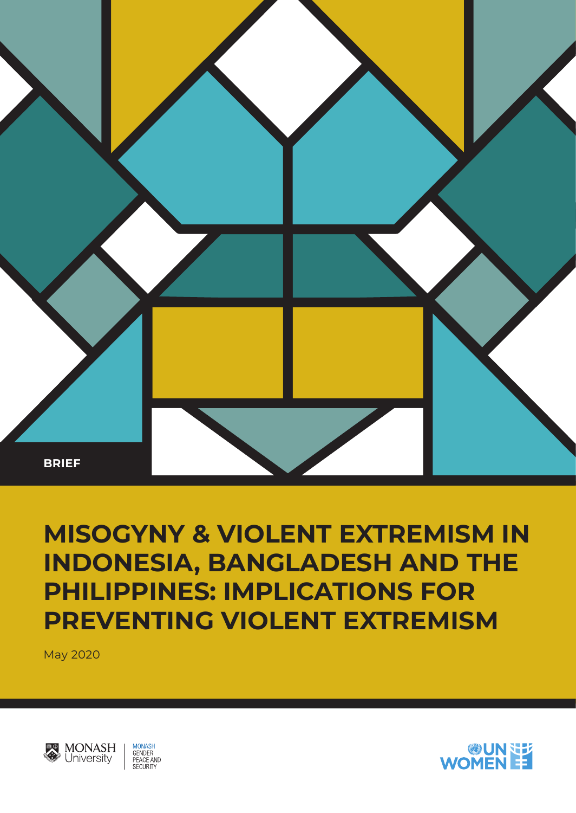

# **MISOGYNY & VIOLENT EXTREMISM IN INDONESIA, BANGLADESH AND THE PHILIPPINES: IMPLICATIONS FOR PREVENTING VIOLENT EXTREMISM**

May 2020



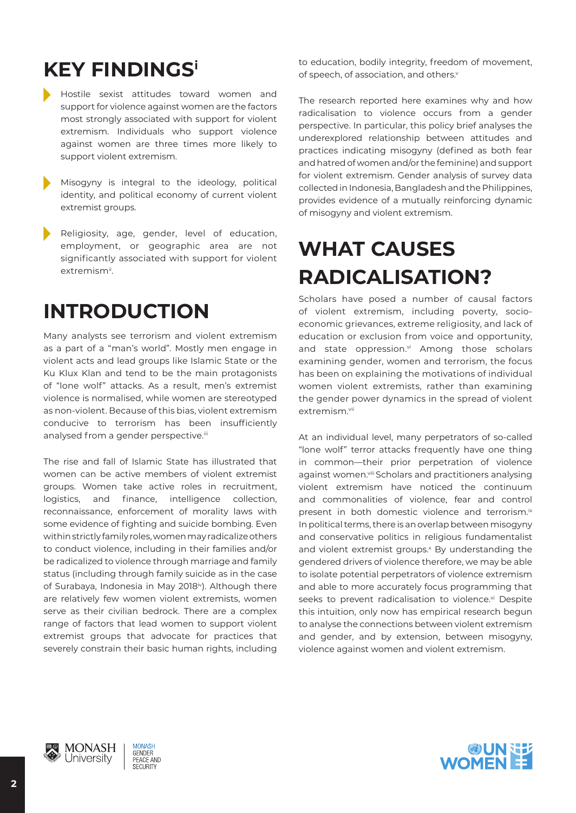## **KEY FINDINGSi**

- Hostile sexist attitudes toward women and support for violence against women are the factors most strongly associated with support for violent extremism. Individuals who support violence against women are three times more likely to support violent extremism.
- Misogyny is integral to the ideology, political identity, and political economy of current violent extremist groups.
- Religiosity, age, gender, level of education, employment, or geographic area are not significantly associated with support for violent extremism<sup>ii</sup>.

### **INTRODUCTION**

Many analysts see terrorism and violent extremism as a part of a "man's world". Mostly men engage in violent acts and lead groups like Islamic State or the Ku Klux Klan and tend to be the main protagonists of "lone wolf" attacks. As a result, men's extremist violence is normalised, while women are stereotyped as non-violent. Because of this bias, violent extremism conducive to terrorism has been insufficiently analysed from a gender perspective.iii

The rise and fall of Islamic State has illustrated that women can be active members of violent extremist groups. Women take active roles in recruitment, logistics, and finance, intelligence collection, reconnaissance, enforcement of morality laws with some evidence of fighting and suicide bombing. Even within strictly family roles, women may radicalize others to conduct violence, including in their families and/or be radicalized to violence through marriage and family status (including through family suicide as in the case of Surabaya, Indonesia in May 2018<sup>iv</sup>). Although there are relatively few women violent extremists, women serve as their civilian bedrock. There are a complex range of factors that lead women to support violent extremist groups that advocate for practices that severely constrain their basic human rights, including to education, bodily integrity, freedom of movement, of speech, of association, and others.<sup>v</sup>

The research reported here examines why and how radicalisation to violence occurs from a gender perspective. In particular, this policy brief analyses the underexplored relationship between attitudes and practices indicating misogyny (defined as both fear and hatred of women and/or the feminine) and support for violent extremism. Gender analysis of survey data collected in Indonesia, Bangladesh and the Philippines, provides evidence of a mutually reinforcing dynamic of misogyny and violent extremism.

## **WHAT CAUSES RADICALISATION?**

Scholars have posed a number of causal factors of violent extremism, including poverty, socioeconomic grievances, extreme religiosity, and lack of education or exclusion from voice and opportunity, and state oppression.vi Among those scholars examining gender, women and terrorism, the focus has been on explaining the motivations of individual women violent extremists, rather than examining the gender power dynamics in the spread of violent extremism.vii

At an individual level, many perpetrators of so-called "lone wolf" terror attacks frequently have one thing in common—their prior perpetration of violence against women. Viii Scholars and practitioners analysing violent extremism have noticed the continuum and commonalities of violence, fear and control present in both domestic violence and terrorism.<sup>ix</sup> In political terms, there is an overlap between misogyny and conservative politics in religious fundamentalist and violent extremist groups.<sup>x</sup> By understanding the gendered drivers of violence therefore, we may be able to isolate potential perpetrators of violence extremism and able to more accurately focus programming that seeks to prevent radicalisation to violence.<sup>xi</sup> Despite this intuition, only now has empirical research begun to analyse the connections between violent extremism and gender, and by extension, between misogyny, violence against women and violent extremism.



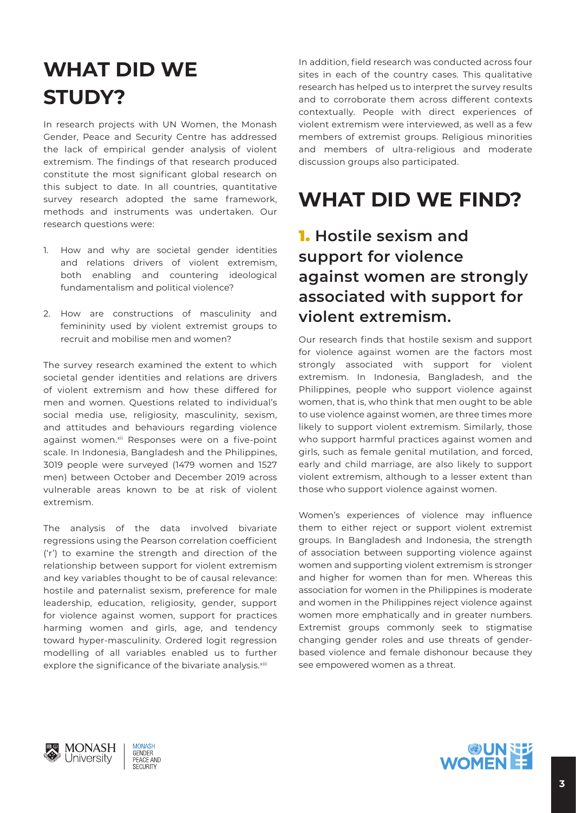### **WHAT DID WE STUDY?**

In research projects with UN Women, the Monash Gender, Peace and Security Centre has addressed the lack of empirical gender analysis of violent extremism. The findings of that research produced constitute the most significant global research on this subject to date. In all countries, quantitative survey research adopted the same framework, methods and instruments was undertaken. Our research questions were:

- 1. How and why are societal gender identities and relations drivers of violent extremism, both enabling and countering ideological fundamentalism and political violence?
- 2. How are constructions of masculinity and femininity used by violent extremist groups to recruit and mobilise men and women?

The survey research examined the extent to which societal gender identities and relations are drivers of violent extremism and how these differed for men and women. Questions related to individual's social media use, religiosity, masculinity, sexism, and attitudes and behaviours regarding violence against women.xii Responses were on a five-point scale. In Indonesia, Bangladesh and the Philippines, 3019 people were surveyed (1479 women and 1527 men) between October and December 2019 across vulnerable areas known to be at risk of violent extremism.

The analysis of the data involved bivariate regressions using the Pearson correlation coefficient ('r') to examine the strength and direction of the relationship between support for violent extremism and key variables thought to be of causal relevance: hostile and paternalist sexism, preference for male leadership, education, religiosity, gender, support for violence against women, support for practices harming women and girls, age, and tendency toward hyper-masculinity. Ordered logit regression modelling of all variables enabled us to further explore the significance of the bivariate analysis.<sup>xiii</sup>

In addition, field research was conducted across four sites in each of the country cases. This qualitative research has helped us to interpret the survey results and to corroborate them across different contexts contextually. People with direct experiences of violent extremism were interviewed, as well as a few members of extremist groups. Religious minorities and members of ultra-religious and moderate discussion groups also participated.

### **WHAT DID WE FIND?**

#### 1. **Hostile sexism and support for violence against women are strongly associated with support for violent extremism.**

Our research finds that hostile sexism and support for violence against women are the factors most strongly associated with support for violent extremism. In Indonesia, Bangladesh, and the Philippines, people who support violence against women, that is, who think that men ought to be able to use violence against women, are three times more likely to support violent extremism. Similarly, those who support harmful practices against women and girls, such as female genital mutilation, and forced, early and child marriage, are also likely to support violent extremism, although to a lesser extent than those who support violence against women.

Women's experiences of violence may influence them to either reject or support violent extremist groups. In Bangladesh and Indonesia, the strength of association between supporting violence against women and supporting violent extremism is stronger and higher for women than for men. Whereas this association for women in the Philippines is moderate and women in the Philippines reject violence against women more emphatically and in greater numbers. Extremist groups commonly seek to stigmatise changing gender roles and use threats of genderbased violence and female dishonour because they see empowered women as a threat.



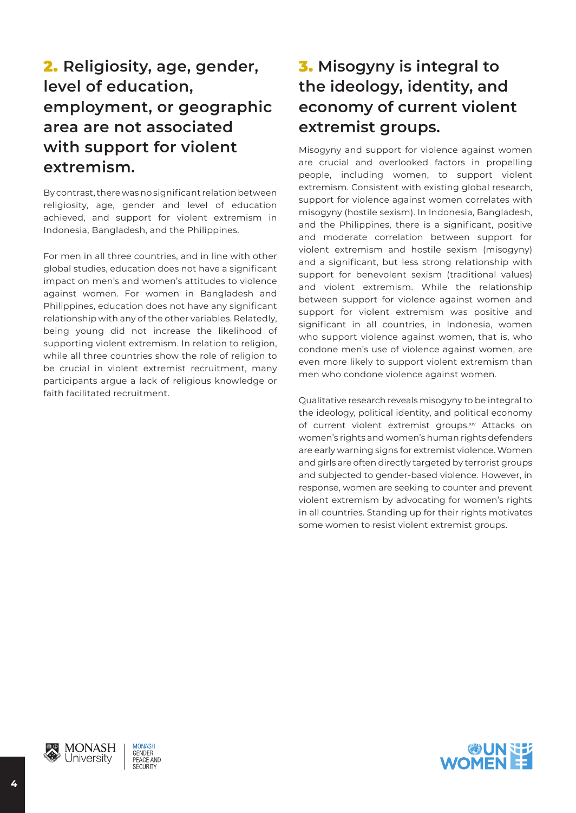#### 2. **Religiosity, age, gender, level of education, employment, or geographic area are not associated with support for violent extremism.**

By contrast, there was no significant relation between religiosity, age, gender and level of education achieved, and support for violent extremism in Indonesia, Bangladesh, and the Philippines.

For men in all three countries, and in line with other global studies, education does not have a significant impact on men's and women's attitudes to violence against women. For women in Bangladesh and Philippines, education does not have any significant relationship with any of the other variables. Relatedly, being young did not increase the likelihood of supporting violent extremism. In relation to religion, while all three countries show the role of religion to be crucial in violent extremist recruitment, many participants argue a lack of religious knowledge or faith facilitated recruitment.

#### 3. **Misogyny is integral to the ideology, identity, and economy of current violent extremist groups.**

Misogyny and support for violence against women are crucial and overlooked factors in propelling people, including women, to support violent extremism. Consistent with existing global research, support for violence against women correlates with misogyny (hostile sexism). In Indonesia, Bangladesh, and the Philippines, there is a significant, positive and moderate correlation between support for violent extremism and hostile sexism (misogyny) and a significant, but less strong relationship with support for benevolent sexism (traditional values) and violent extremism. While the relationship between support for violence against women and support for violent extremism was positive and significant in all countries, in Indonesia, women who support violence against women, that is, who condone men's use of violence against women, are even more likely to support violent extremism than men who condone violence against women.

Qualitative research reveals misogyny to be integral to the ideology, political identity, and political economy of current violent extremist groups.xiv Attacks on women's rights and women's human rights defenders are early warning signs for extremist violence. Women and girls are often directly targeted by terrorist groups and subjected to gender-based violence. However, in response, women are seeking to counter and prevent violent extremism by advocating for women's rights in all countries. Standing up for their rights motivates some women to resist violent extremist groups.



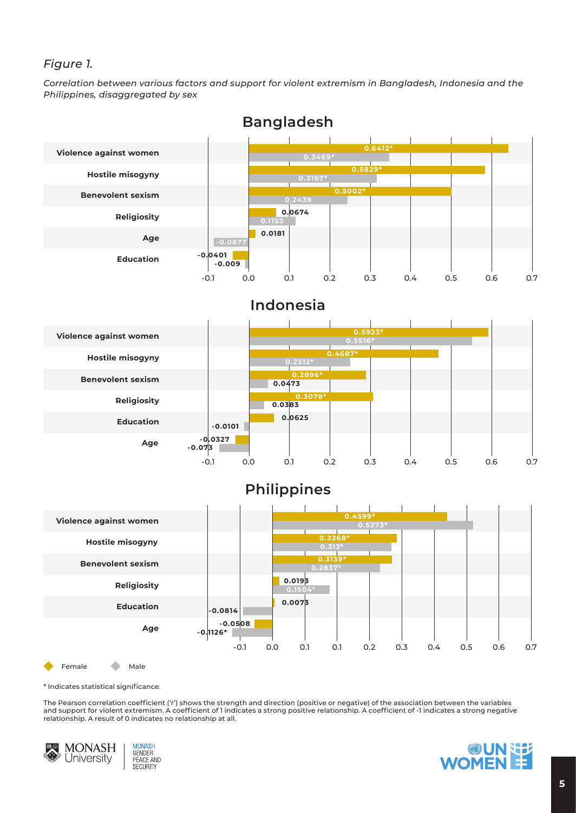#### *Figure 1.*

*Correlation between various factors and support for violent extremism in Bangladesh, Indonesia and the Philippines, disaggregated by sex*



\* Indicates statistical significance.

The Pearson correlation coefficient ('r') shows the strength and direction (positive or negative) of the association between the variables and support for violent extremism. A coefficient of 1 indicates a strong positive relationship. A coefficient of -1 indicates a strong negative relationship. A result of 0 indicates no relationship at all.



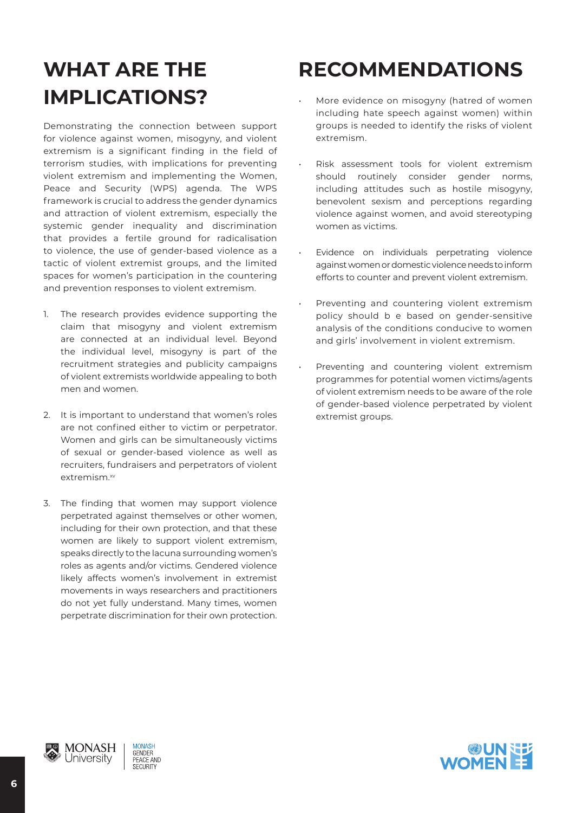# **WHAT ARE THE IMPLICATIONS?**

Demonstrating the connection between support for violence against women, misogyny, and violent extremism is a significant finding in the field of terrorism studies, with implications for preventing violent extremism and implementing the Women, Peace and Security (WPS) agenda. The WPS framework is crucial to address the gender dynamics and attraction of violent extremism, especially the systemic gender inequality and discrimination that provides a fertile ground for radicalisation to violence, the use of gender-based violence as a tactic of violent extremist groups, and the limited spaces for women's participation in the countering and prevention responses to violent extremism.

- 1. The research provides evidence supporting the claim that misogyny and violent extremism are connected at an individual level. Beyond the individual level, misogyny is part of the recruitment strategies and publicity campaigns of violent extremists worldwide appealing to both men and women.
- 2. It is important to understand that women's roles are not confined either to victim or perpetrator. Women and girls can be simultaneously victims of sexual or gender-based violence as well as recruiters, fundraisers and perpetrators of violent extremism.<sup>xv</sup>
- 3. The finding that women may support violence perpetrated against themselves or other women, including for their own protection, and that these women are likely to support violent extremism, speaks directly to the lacuna surrounding women's roles as agents and/or victims. Gendered violence likely affects women's involvement in extremist movements in ways researchers and practitioners do not yet fully understand. Many times, women perpetrate discrimination for their own protection.

# **RECOMMENDATIONS**

- More evidence on misogyny (hatred of women including hate speech against women) within groups is needed to identify the risks of violent extremism.
- Risk assessment tools for violent extremism should routinely consider gender norms, including attitudes such as hostile misogyny, benevolent sexism and perceptions regarding violence against women, and avoid stereotyping women as victims.
- Evidence on individuals perpetrating violence against women or domestic violence needs to inform efforts to counter and prevent violent extremism.
- Preventing and countering violent extremism policy should b e based on gender-sensitive analysis of the conditions conducive to women and girls' involvement in violent extremism.
- Preventing and countering violent extremism programmes for potential women victims/agents of violent extremism needs to be aware of the role of gender-based violence perpetrated by violent extremist groups.

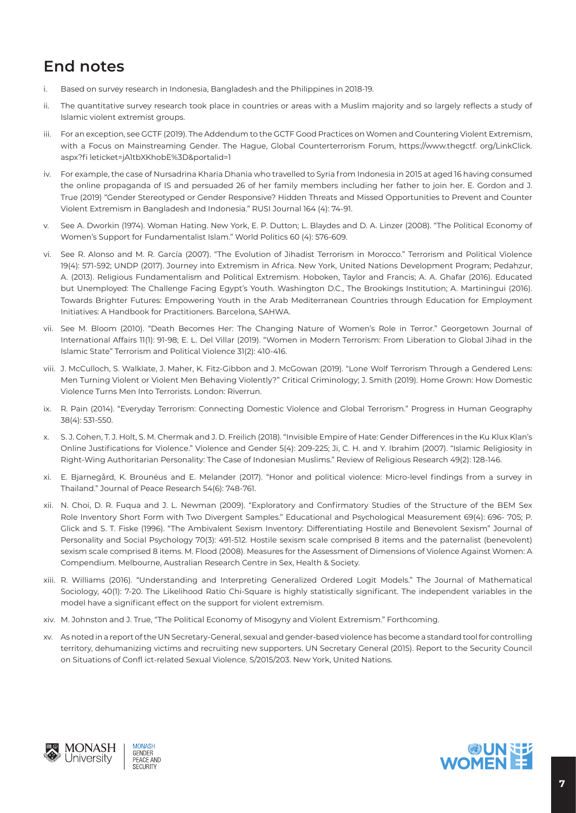### **End notes**

- i. Based on survey research in Indonesia, Bangladesh and the Philippines in 2018-19.
- ii. The quantitative survey research took place in countries or areas with a Muslim majority and so largely reflects a study of Islamic violent extremist groups.
- iii. For an exception, see GCTF (2019). The Addendum to the GCTF Good Practices on Women and Countering Violent Extremism, with a Focus on Mainstreaming Gender. The Hague, Global Counterterrorism Forum, https://www.thegctf. org/LinkClick. aspx?fi leticket=jA1tbXKhobE%3D&portalid=1
- iv. For example, the case of Nursadrina Kharia Dhania who travelled to Syria from Indonesia in 2015 at aged 16 having consumed the online propaganda of IS and persuaded 26 of her family members including her father to join her. E. Gordon and J. True (2019) "Gender Stereotyped or Gender Responsive? Hidden Threats and Missed Opportunities to Prevent and Counter Violent Extremism in Bangladesh and Indonesia." RUSI Journal 164 (4): 74-91.
- v. See A. Dworkin (1974). Woman Hating. New York, E. P. Dutton; L. Blaydes and D. A. Linzer (2008). "The Political Economy of Women's Support for Fundamentalist Islam." World Politics 60 (4): 576-609.
- vi. See R. Alonso and M. R. García (2007). "The Evolution of Jihadist Terrorism in Morocco." Terrorism and Political Violence 19(4): 571-592; UNDP (2017). Journey into Extremism in Africa. New York, United Nations Development Program; Pedahzur, A. (2013). Religious Fundamentalism and Political Extremism. Hoboken, Taylor and Francis; A. A. Ghafar (2016). Educated but Unemployed: The Challenge Facing Egypt's Youth. Washington D.C., The Brookings Institution; A. Martiningui (2016). Towards Brighter Futures: Empowering Youth in the Arab Mediterranean Countries through Education for Employment Initiatives: A Handbook for Practitioners. Barcelona, SAHWA.
- vii. See M. Bloom (2010). "Death Becomes Her: The Changing Nature of Women's Role in Terror." Georgetown Journal of International Affairs 11(1): 91-98; E. L. Del Villar (2019). "Women in Modern Terrorism: From Liberation to Global Jihad in the Islamic State" Terrorism and Political Violence 31(2): 410-416.
- viii. J. McCulloch, S. Walklate, J. Maher, K. Fitz-Gibbon and J. McGowan (2019). "Lone Wolf Terrorism Through a Gendered Lens: Men Turning Violent or Violent Men Behaving Violently?" Critical Criminology; J. Smith (2019). Home Grown: How Domestic Violence Turns Men Into Terrorists. London: Riverrun.
- ix. R. Pain (2014). "Everyday Terrorism: Connecting Domestic Violence and Global Terrorism." Progress in Human Geography 38(4): 531-550.
- x. S. J. Cohen, T. J. Holt, S. M. Chermak and J. D. Freilich (2018). "Invisible Empire of Hate: Gender Differences in the Ku Klux Klan's Online Justifications for Violence." Violence and Gender 5(4): 209-225; Ji, C. H. and Y. Ibrahim (2007). "Islamic Religiosity in Right-Wing Authoritarian Personality: The Case of Indonesian Muslims." Review of Religious Research 49(2): 128-146.
- xi. E. Bjarnegård, K. Brounéus and E. Melander (2017). "Honor and political violence: Micro-level findings from a survey in Thailand." Journal of Peace Research 54(6): 748-761.
- xii. N. Choi, D. R. Fuqua and J. L. Newman (2009). "Exploratory and Confirmatory Studies of the Structure of the BEM Sex Role Inventory Short Form with Two Divergent Samples." Educational and Psychological Measurement 69(4): 696- 705; P. Glick and S. T. Fiske (1996). "The Ambivalent Sexism Inventory: Differentiating Hostile and Benevolent Sexism" Journal of Personality and Social Psychology 70(3): 491-512. Hostile sexism scale comprised 8 items and the paternalist (benevolent) sexism scale comprised 8 items. M. Flood (2008). Measures for the Assessment of Dimensions of Violence Against Women: A Compendium. Melbourne, Australian Research Centre in Sex, Health & Society.
- xiii. R. Williams (2016). "Understanding and Interpreting Generalized Ordered Logit Models." The Journal of Mathematical Sociology, 40(1): 7-20. The Likelihood Ratio Chi-Square is highly statistically significant. The independent variables in the model have a significant effect on the support for violent extremism.
- xiv. M. Johnston and J. True, "The Political Economy of Misogyny and Violent Extremism." Forthcoming.
- xv. As noted in a report of the UN Secretary-General, sexual and gender-based violence has become a standard tool for controlling territory, dehumanizing victims and recruiting new supporters. UN Secretary General (2015). Report to the Security Council on Situations of Confl ict-related Sexual Violence. S/2015/203. New York, United Nations.